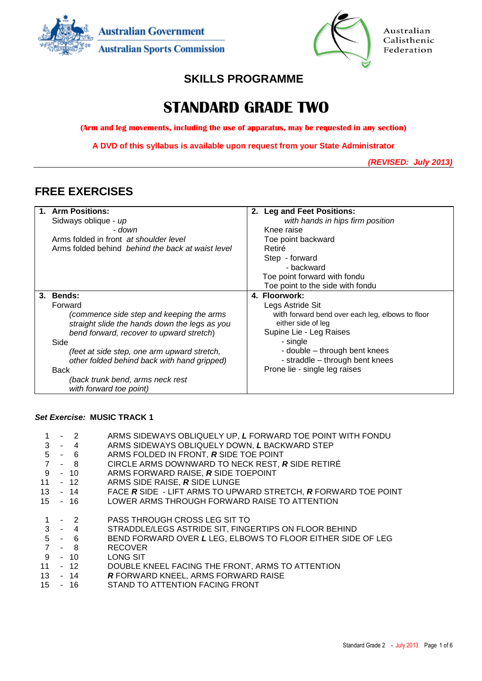



Australian Calisthenic Federation

## **SKILLS PROGRAMME**

# **STANDARD GRADE TWO**

**(Arm and leg movements, including the use of apparatus, may be requested in any section)**

**A DVD of this syllabus is available upon request from your State Administrator**

*(REVISED: July 2013)*

## **FREE EXERCISES**

|    | 1. Arm Positions:                                 | 2. Leg and Feet Positions:                       |
|----|---------------------------------------------------|--------------------------------------------------|
|    | Sidways oblique - up                              | with hands in hips firm position                 |
|    | - down                                            | Knee raise                                       |
|    | Arms folded in front at shoulder level            | Toe point backward                               |
|    | Arms folded behind behind the back at waist level | Retiré                                           |
|    |                                                   | Step - forward                                   |
|    |                                                   | - backward                                       |
|    |                                                   | Toe point forward with fondu                     |
|    |                                                   | Toe point to the side with fondu                 |
| 3. | <b>Bends:</b>                                     | 4. Floorwork:                                    |
|    | Forward                                           | Legs Astride Sit                                 |
|    | (commence side step and keeping the arms          | with forward bend over each leg, elbows to floor |
|    | straight slide the hands down the legs as you     | either side of leg                               |
|    | bend forward, recover to upward stretch)          | Supine Lie - Leg Raises                          |
|    | Side                                              | - single                                         |
|    | (feet at side step, one arm upward stretch,       | - double – through bent knees                    |
|    | other folded behind back with hand gripped)       | - straddle - through bent knees                  |
|    | Back                                              | Prone lie - single leg raises                    |
|    | (back trunk bend, arms neck rest                  |                                                  |
|    | with forward toe point)                           |                                                  |

### *Set Exercise:* **MUSIC TRACK 1**

|  | $-2$      | ARMS SIDEWAYS OBLIQUELY UP, L FORWARD TOE POINT WITH FONDU     |
|--|-----------|----------------------------------------------------------------|
|  | $3 - 4$   | ARMS SIDEWAYS OBLIQUELY DOWN, L BACKWARD STEP                  |
|  | $5 - 6$   | ARMS FOLDED IN FRONT, R SIDE TOE POINT                         |
|  | $7 - 8$   | CIRCLE ARMS DOWNWARD TO NECK REST, R SIDE RETIRÉ               |
|  | $9 - 10$  | ARMS FORWARD RAISE, R SIDE TOEPOINT                            |
|  | $11 - 12$ | ARMS SIDE RAISE, R SIDE LUNGE                                  |
|  | 13 - 14   | FACE R SIDE - LIFT ARMS TO UPWARD STRETCH, R FORWARD TOE POINT |
|  | 15 - 16   | LOWER ARMS THROUGH FORWARD RAISE TO ATTENTION                  |
|  |           |                                                                |
|  | $-2$      | PASS THROUGH CROSS LEG SIT TO                                  |
|  | $3 - 4$   | STRADDLE/LEGS ASTRIDE SIT, FINGERTIPS ON FLOOR BEHIND          |
|  | $5 - 6$   | BEND FORWARD OVER L LEG, ELBOWS TO FLOOR EITHER SIDE OF LEG    |
|  | $7 - 8$   | <b>RECOVER</b>                                                 |
|  | $9 - 10$  | LONG SIT                                                       |
|  | $11 - 12$ | DOUBLE KNEEL FACING THE FRONT, ARMS TO ATTENTION               |
|  | 13 - 14   | R FORWARD KNEEL, ARMS FORWARD RAISE                            |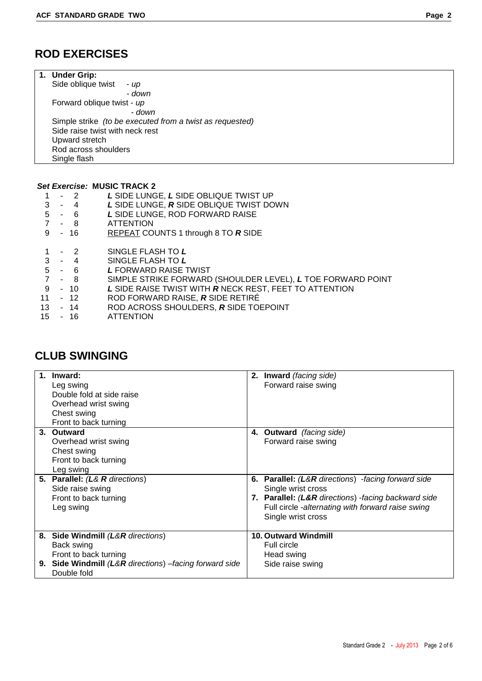| 1. Under Grip:                                           |
|----------------------------------------------------------|
| Side oblique twist<br>- up                               |
| - down                                                   |
| Forward oblique twist - up                               |
| - down                                                   |
| Simple strike (to be executed from a twist as requested) |
| Side raise twist with neck rest                          |
| Upward stretch                                           |
| Rod across shoulders                                     |
| Single flash                                             |

### *Set Exercise:* **MUSIC TRACK 2**

| 1 - 2 |         | L SIDE LUNGE, L SIDE OBLIQUE TWIST UP   |
|-------|---------|-----------------------------------------|
|       | $3 - 4$ | L SIDE LUNGE, R SIDE OBLIQUE TWIST DOWN |
|       |         | LOIDE LUNGE DOD FODWADD DAIGE           |

- 5 6 *L* SIDE LUNGE, ROD FORWARD RAISE
- 8 ATTENTION
- 9 16 REPEAT COUNTS 1 through 8 TO *R* SIDE
- 1 2 SINGLE FLASH TO *L*
- 3 4 SINGLE FLASH TO *L*
- 
- 5 6 *L* FORWARD RAISE TWIST 7 - 8 SIMPLE STRIKE FORWARD (SHOULDER LEVEL), **L** TOE FORWARD POINT<br>9 - 10 L SIDE RAISE TWIST WITH **R** NECK REST, FEET TO ATTENTION
- 10 L SIDE RAISE TWIST WITH **R** NECK REST, FEET TO ATTENTION<br>- 12 ROD FORWARD RAISE. **R** SIDE RETIRÉ
- 11 12 ROD FORWARD RAISE, *R* SIDE RETIRÉ
- 13 14 ROD ACROSS SHOULDERS, *R* SIDE TOEPOINT
- **ATTENTION**

| $1_{-}$ | Inward:<br>Leg swing<br>Double fold at side raise<br>Overhead wrist swing<br>Chest swing<br>Front to back turning | 2. Inward (facing side)<br>Forward raise swing      |
|---------|-------------------------------------------------------------------------------------------------------------------|-----------------------------------------------------|
|         | 3. Outward<br>Overhead wrist swing                                                                                | 4. Outward (facing side)<br>Forward raise swing     |
|         | Chest swing                                                                                                       |                                                     |
|         | Front to back turning<br>Leg swing                                                                                |                                                     |
| 5.      | <b>Parallel:</b> (L& R directions)                                                                                | 6. Parallel: (L&R directions) -facing forward side  |
|         | Side raise swing                                                                                                  | Single wrist cross                                  |
|         | Front to back turning                                                                                             | 7. Parallel: (L&R directions) -facing backward side |
|         | Leg swing                                                                                                         | Full circle -alternating with forward raise swing   |
|         |                                                                                                                   | Single wrist cross                                  |
|         | 8. Side Windmill (L&R directions)                                                                                 | <b>10. Outward Windmill</b>                         |
|         | Back swing                                                                                                        | Full circle                                         |
|         | Front to back turning                                                                                             | Head swing                                          |
|         | 9. Side Windmill (L&R directions) -facing forward side<br>Double fold                                             | Side raise swing                                    |

## **CLUB SWINGING**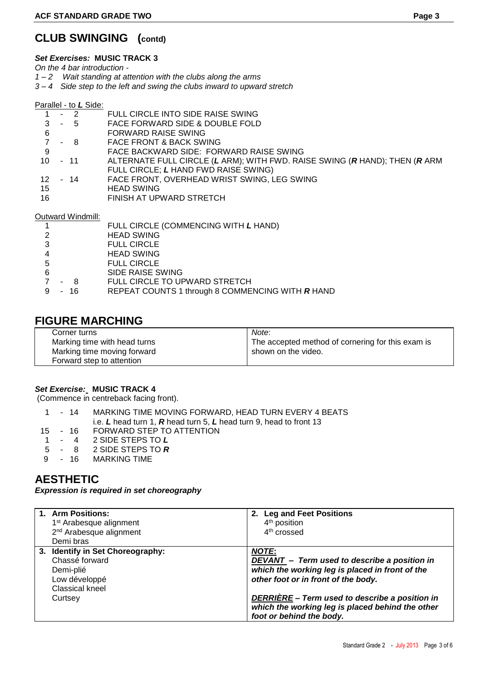# **CLUB SWINGING (contd)**

### *Set Exercises:* **MUSIC TRACK 3**

*On the 4 bar introduction -*

- *1 – 2 Wait standing at attention with the clubs along the arms*
- *3 – 4 Side step to the left and swing the clubs inward to upward stretch*

Parallel - to *L* Side:

|    | $-2$              | FULL CIRCLE INTO SIDE RAISE SWING                                          |
|----|-------------------|----------------------------------------------------------------------------|
| 3  | $-5$              | FACE FORWARD SIDE & DOUBLE FOLD                                            |
| 6  |                   | FORWARD RAISE SWING                                                        |
|    | - 8               | FACE FRONT & BACK SWING                                                    |
| 9  |                   | FACE BACKWARD SIDE: FORWARD RAISE SWING                                    |
| 10 | - 11              | ALTERNATE FULL CIRCLE (L ARM); WITH FWD. RAISE SWING (R HAND); THEN (R ARM |
|    |                   | FULL CIRCLE; L HAND FWD RAISE SWING)                                       |
| 12 | - 14              | FACE FRONT, OVERHEAD WRIST SWING, LEG SWING                                |
| 15 |                   | <b>HEAD SWING</b>                                                          |
| 16 |                   | FINISH AT UPWARD STRETCH                                                   |
|    |                   |                                                                            |
|    | Outward Windmill: |                                                                            |

|               |      | FULL CIRCLE (COMMENCING WITH L HAND)             |
|---------------|------|--------------------------------------------------|
| $\mathcal{P}$ |      | <b>HEAD SWING</b>                                |
| 3             |      | <b>FULL CIRCLE</b>                               |
|               |      | <b>HEAD SWING</b>                                |
| 5             |      | <b>FULL CIRCLE</b>                               |
| 6             |      | SIDE RAISE SWING                                 |
|               | - 8  | FULL CIRCLE TO UPWARD STRETCH                    |
| 9             | - 16 | REPEAT COUNTS 1 through 8 COMMENCING WITH R HAND |

### **FIGURE MARCHING**

| Corner turns                 | Note:                                             |
|------------------------------|---------------------------------------------------|
| Marking time with head turns | The accepted method of cornering for this exam is |
| Marking time moving forward  | shown on the video.                               |
| Forward step to attention    |                                                   |

### *Set Exercise:* **MUSIC TRACK 4**

(Commence in centreback facing front).

|    | - 14 | MARKING TIME MOVING FORWARD, HEAD TURN EVERY 4 BEATS               |
|----|------|--------------------------------------------------------------------|
|    |      | i.e. L head turn 1, R head turn 5, L head turn 9, head to front 13 |
| 15 | - 16 | FORWARD STEP TO ATTENTION                                          |
|    |      | 4 4 QOIDE CTEDC TO I                                               |

- 1 4 2 SIDE STEPS TO *L*
- 5 8 2 SIDE STEPS TO *R*
- 9 16 MARKING TIME

## **AESTHETIC**

*Expression is required in set choreography*

| 1. Arm Positions:<br>1 <sup>st</sup> Arabesque alignment<br>2 <sup>nd</sup> Arabesque alignment<br>Demi bras | 2. Leg and Feet Positions<br>4 <sup>th</sup> position<br>4 <sup>th</sup> crossed                                                                       |
|--------------------------------------------------------------------------------------------------------------|--------------------------------------------------------------------------------------------------------------------------------------------------------|
| 3. Identify in Set Choreography:<br>Chassé forward<br>Demi-plié<br>Low développé<br>Classical kneel          | <b>NOTE:</b><br>DEVANT - Term used to describe a position in<br>which the working leg is placed in front of the<br>other foot or in front of the body. |
| Curtsey                                                                                                      | DERRIÈRE - Term used to describe a position in<br>which the working leg is placed behind the other<br>foot or behind the body.                         |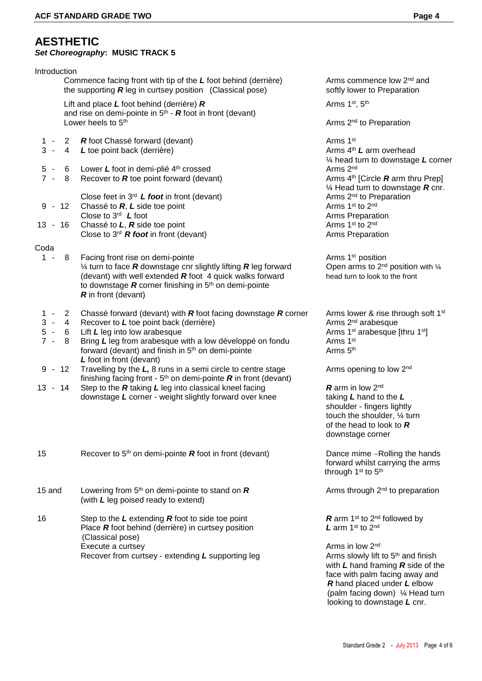### **AESTHETIC**  *Set Choreography***: MUSIC TRACK 5**

| Introduction |                |                                                                                                                                          |                                                                                                                 |
|--------------|----------------|------------------------------------------------------------------------------------------------------------------------------------------|-----------------------------------------------------------------------------------------------------------------|
|              |                | Commence facing front with tip of the $L$ foot behind (derrière)<br>the supporting $R$ leg in curtsey position (Classical pose)          | Arms commence low 2 <sup>nd</sup> and<br>softly lower to Preparation                                            |
|              |                | Lift and place $L$ foot behind (derrière) $R$                                                                                            | Arms 1st, 5th                                                                                                   |
|              |                | and rise on demi-pointe in $5th$ - <b>R</b> foot in front (devant)<br>Lower heels to 5 <sup>th</sup>                                     | Arms 2 <sup>nd</sup> to Preparation                                                                             |
| $1 -$        | $\mathbf{2}$   | R foot Chassé forward (devant)                                                                                                           | Arms 1st                                                                                                        |
| $3 -$        | $\overline{4}$ | L toe point back (derrière)                                                                                                              | Arms 4 <sup>th</sup> L arm overhead                                                                             |
|              |                |                                                                                                                                          | $\frac{1}{4}$ head turn to downstage L corner                                                                   |
| $5 -$        |                | 6 Lower L foot in demi-plié $4th$ crossed                                                                                                | Arms 2 <sup>nd</sup>                                                                                            |
| $7 -$        | 8              | Recover to $R$ toe point forward (devant)                                                                                                | Arms $4th$ [Circle <b>R</b> arm thru Prep]                                                                      |
|              |                | Close feet in $3^{rd}$ L foot in front (devant)                                                                                          | $\frac{1}{4}$ Head turn to downstage <b>R</b> cnr.<br>Arms 2 <sup>nd</sup> to Preparation                       |
| $9 - 12$     |                | Chassé to R, L side toe point                                                                                                            | Arms 1st to 2nd                                                                                                 |
|              |                | Close to $3^{rd}$ <i>L</i> foot                                                                                                          | Arms Preparation                                                                                                |
| 13 - 16      |                | Chassé to L, R side toe point                                                                                                            | Arms 1st to 2nd                                                                                                 |
|              |                | Close to $3^{rd}$ R foot in front (devant)                                                                                               | Arms Preparation                                                                                                |
| Coda         |                |                                                                                                                                          |                                                                                                                 |
| $1 -$        | 8              | Facing front rise on demi-pointe                                                                                                         | Arms 1 <sup>st</sup> position                                                                                   |
|              |                | $\frac{1}{4}$ turn to face R downstage cnr slightly lifting R leg forward                                                                | Open arms to 2 <sup>nd</sup> position with 1/4                                                                  |
|              |                | (devant) with well extended $R$ foot 4 quick walks forward                                                                               | head turn to look to the front                                                                                  |
|              |                | to downstage $R$ corner finishing in $5th$ on demi-pointe                                                                                |                                                                                                                 |
|              |                | $R$ in front (devant)                                                                                                                    |                                                                                                                 |
| $1 -$        | $\overline{2}$ | Chassé forward (devant) with $R$ foot facing downstage $R$ corner                                                                        | Arms lower & rise through soft 1 <sup>st</sup>                                                                  |
| $3 -$        | $\overline{4}$ | Recover to L toe point back (derrière)                                                                                                   | Arms 2 <sup>nd</sup> arabesque                                                                                  |
| $5 -$        | 6              | Lift L leg into low arabesque                                                                                                            | Arms 1 <sup>st</sup> arabesque [thru 1 <sup>st</sup> ]                                                          |
| $7 -$        | 8              | Bring L leg from arabesque with a low développé on fondu                                                                                 | Arms 1st                                                                                                        |
|              |                | forward (devant) and finish in 5 <sup>th</sup> on demi-pointe<br>L foot in front (devant)                                                | Arms 5 <sup>th</sup>                                                                                            |
| $9 - 12$     |                | Travelling by the L, 8 runs in a semi circle to centre stage<br>finishing facing front - $5th$ on demi-pointe <b>R</b> in front (devant) | Arms opening to low 2 <sup>nd</sup>                                                                             |
| $13 - 14$    |                | Step to the $R$ taking $L$ leg into classical kneel facing                                                                               | <b>R</b> arm in low $2^{nd}$                                                                                    |
|              |                | downstage L corner - weight slightly forward over knee                                                                                   | taking $L$ hand to the $L$                                                                                      |
|              |                |                                                                                                                                          | shoulder - fingers lightly                                                                                      |
|              |                |                                                                                                                                          | touch the shoulder, 1/4 turn                                                                                    |
|              |                |                                                                                                                                          | of the head to look to $R$<br>downstage corner                                                                  |
|              |                |                                                                                                                                          |                                                                                                                 |
| 15           |                | Recover to $5th$ on demi-pointe <b>R</b> foot in front (devant)                                                                          | Dance mime -Rolling the hands<br>forward whilst carrying the arms<br>through 1 <sup>st</sup> to 5 <sup>th</sup> |
| 15 and       |                | Lowering from $5th$ on demi-pointe to stand on $R$<br>(with L leg poised ready to extend)                                                | Arms through 2 <sup>nd</sup> to preparation                                                                     |
| 16           |                | Step to the $L$ extending $R$ foot to side toe point                                                                                     | <b>R</b> arm 1 <sup>st</sup> to 2 <sup>nd</sup> followed by                                                     |
|              |                | Place $R$ foot behind (derrière) in curtsey position                                                                                     | L arm $1st$ to $2nd$                                                                                            |
|              |                | (Classical pose)                                                                                                                         | Arms in low 2 <sup>nd</sup>                                                                                     |
|              |                | Execute a curtsey<br>Recover from curtsey - extending L supporting leg                                                                   | Arms slowly lift to 5 <sup>th</sup> and finish                                                                  |
|              |                |                                                                                                                                          | with $L$ hand framing $R$ side of the<br>face with palm facing away and                                         |

 *R* hand placed under *L* elbow

(palm facing down) ¼ Head turn looking to downstage *L* cnr.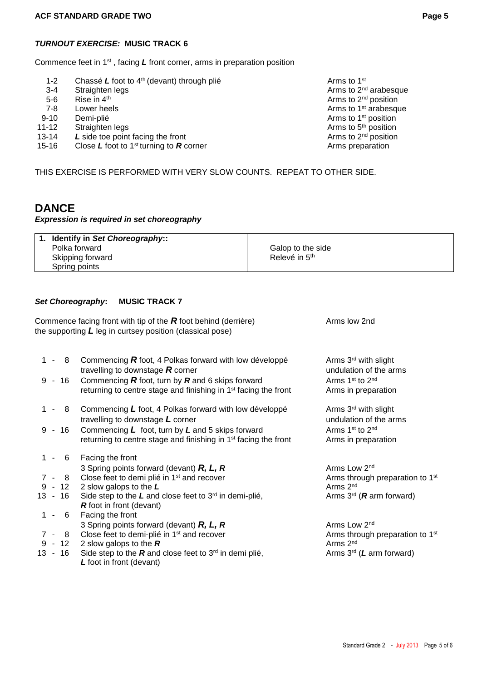### *TURNOUT EXERCISE:* **MUSIC TRACK 6**

Commence feet in 1st , facing *L* front corner, arms in preparation position

- 1-2 Chassé L foot to 4<sup>th</sup> (devant) through plié **Arms** to 1<sup>st</sup> Arms to 1<sup>st</sup>
- 3-4 Straighten legs **Arms** to 2<sup>nd</sup> arabesque
- 5-6 Rise in  $4<sup>th</sup>$
- 7-8 Lower heels **Arms** to 1st arabesque and the 1st area Arms to 1st arabesque
- 9-10 Demi-plié **Arms** to 1<sup>st</sup> position
- 
- 11-12 Straighten legs **Arms to 5th position**<br>13-14 L side toe point facing the front **Arms** to 2<sup>nd</sup> position **Arms** to 2<sup>nd</sup> position 13-14 L side toe point facing the front
- 15-16 Close L foot to 1<sup>st</sup> turning to **R** corner Close Constantion Close L from the *R* corner Arms preparation

THIS EXERCISE IS PERFORMED WITH VERY SLOW COUNTS. REPEAT TO OTHER SIDE.

## **DANCE**

#### *Expression is required in set choreography*

| Identify in Set Choreography:: |                           |
|--------------------------------|---------------------------|
| Polka forward                  | Galop to the side         |
| Skipping forward               | Relevé in 5 <sup>th</sup> |
| Spring points                  |                           |

#### *Set Choreography***:****MUSIC TRACK 7**

| Commence facing front with tip of the $R$ foot behind (derrière) | Arms low 2nd |
|------------------------------------------------------------------|--------------|
| the supporting $L$ leg in curtsey position (classical pose)      |              |

- 1 8 Commencing **R** foot, 4 Polkas forward with low développé Arms 3<sup>rd</sup> with slight travelling to downstage **R** corner undulation of the arms
- 9 16 Commencing  $\vec{R}$  foot, turn by  $\vec{R}$  and 6 skips forward  $\vec{r}$  Arms 1<sup>st</sup> to 2<sup>nd</sup> returning to centre stage and finishing in 1<sup>st</sup> facing the front
- 1 8 Commencing L foot, 4 Polkas forward with low développé Arms 3<sup>rd</sup> with slight travelling to downstage L corner undulation of the arms
- 9 16 Commencing L foot, turn by L and 5 skips forward Arms 1<sup>st</sup> to 2<sup>nd</sup> returning to centre stage and finishing in 1<sup>st</sup> facing the front
- 1 6 Facing the front 3 Spring points forward (devant) **R, L, R** Arms Low 2<sup>nd</sup> 7 - 8 Close feet to demi plié in 1<sup>st</sup> and recover Arms through preparation to 1<sup>st</sup> 9 - 12 2 slow galops to the L
- 
- 13 16 Side step to the *L* and close feet to 3<sup>rd</sup> in demi-plié, Arms 3<sup>rd</sup> (*R* arm forward) *R* foot in front (devant)
- 1 6 Facing the front
- 7 8 Close feet to demi-plié in 1<sup>st</sup> and recover 9 12 2 slow galops to the **R**
- 
- 9 12 2 slow galops to the  $\mathbb R$ <br>13 16 Side step to the  $\mathbb R$  and close feet to 3<sup>rd</sup> in demi plié,  $\mathbb R$  Arms 3<sup>rd</sup> (*L* arm forward) Side step to the *R* and close feet to 3<sup>rd</sup> in demi plié, *L* foot in front (devant)

Arms to 2nd position

Arms in preparation

Arms in preparation

Arms 2<sup>nd</sup>

3 Spring points forward (devant) **R, L, R**<br>Close feet to demi-plié in 1<sup>st</sup> and recover **Arms** through preparation to 1<sup>st</sup> Arms 2<sup>nd</sup>